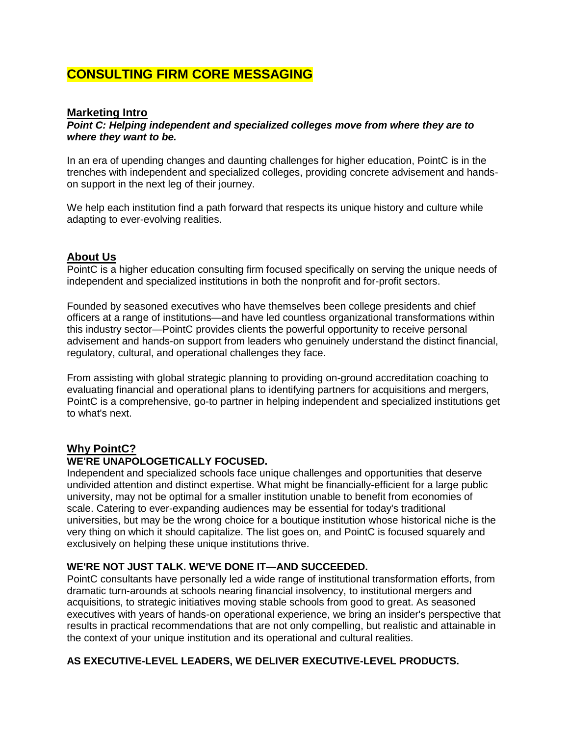# **CONSULTING FIRM CORE MESSAGING**

#### **Marketing Intro**

#### *Point C: Helping independent and specialized colleges move from where they are to where they want to be.*

In an era of upending changes and daunting challenges for higher education, PointC is in the trenches with independent and specialized colleges, providing concrete advisement and handson support in the next leg of their journey.

We help each institution find a path forward that respects its unique history and culture while adapting to ever-evolving realities.

## **About Us**

PointC is a higher education consulting firm focused specifically on serving the unique needs of independent and specialized institutions in both the nonprofit and for-profit sectors.

Founded by seasoned executives who have themselves been college presidents and chief officers at a range of institutions—and have led countless organizational transformations within this industry sector—PointC provides clients the powerful opportunity to receive personal advisement and hands-on support from leaders who genuinely understand the distinct financial, regulatory, cultural, and operational challenges they face.

From assisting with global strategic planning to providing on-ground accreditation coaching to evaluating financial and operational plans to identifying partners for acquisitions and mergers, PointC is a comprehensive, go-to partner in helping independent and specialized institutions get to what's next.

## **Why PointC?**

#### **WE'RE UNAPOLOGETICALLY FOCUSED.**

Independent and specialized schools face unique challenges and opportunities that deserve undivided attention and distinct expertise. What might be financially-efficient for a large public university, may not be optimal for a smaller institution unable to benefit from economies of scale. Catering to ever-expanding audiences may be essential for today's traditional universities, but may be the wrong choice for a boutique institution whose historical niche is the very thing on which it should capitalize. The list goes on, and PointC is focused squarely and exclusively on helping these unique institutions thrive.

#### **WE'RE NOT JUST TALK. WE'VE DONE IT—AND SUCCEEDED.**

PointC consultants have personally led a wide range of institutional transformation efforts, from dramatic turn-arounds at schools nearing financial insolvency, to institutional mergers and acquisitions, to strategic initiatives moving stable schools from good to great. As seasoned executives with years of hands-on operational experience, we bring an insider's perspective that results in practical recommendations that are not only compelling, but realistic and attainable in the context of your unique institution and its operational and cultural realities.

## **AS EXECUTIVE-LEVEL LEADERS, WE DELIVER EXECUTIVE-LEVEL PRODUCTS.**